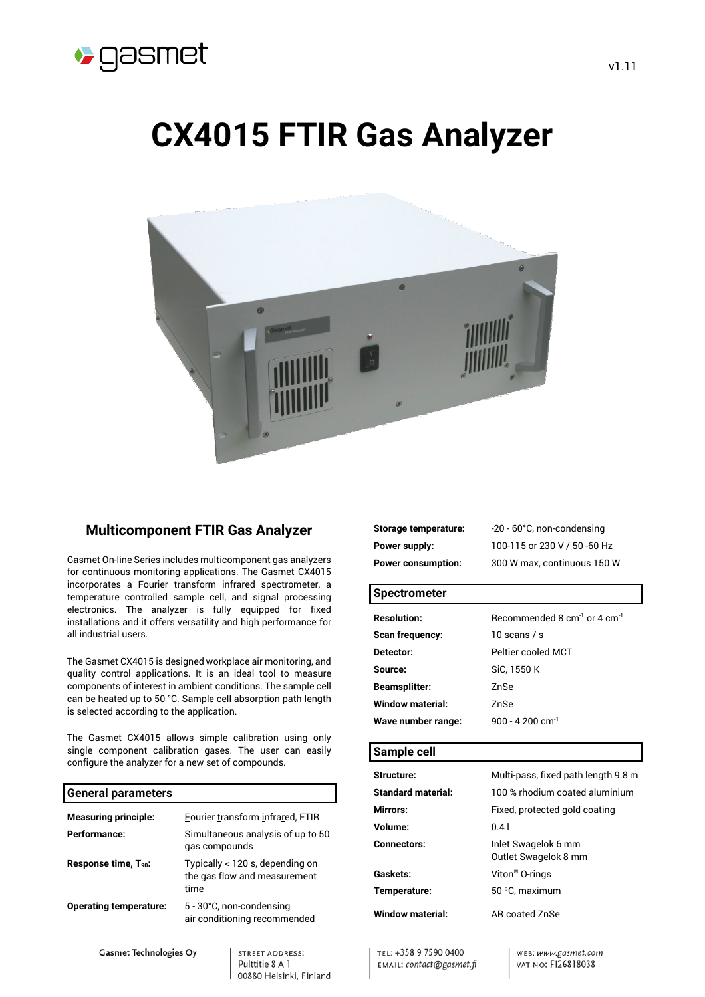

# **CX4015 FTIR Gas Analyzer**



# **Multicomponent FTIR Gas Analyzer**

Gasmet On-line Series includes multicomponent gas analyzers for continuous monitoring applications. The Gasmet CX4015 incorporates a Fourier transform infrared spectrometer, a temperature controlled sample cell, and signal processing electronics. The analyzer is fully equipped for fixed installations and it offers versatility and high performance for all industrial users.

The Gasmet CX4015 is designed workplace air monitoring, and quality control applications. It is an ideal tool to measure components of interest in ambient conditions. The sample cell can be heated up to 50 °C. Sample cell absorption path length is selected according to the application.

The Gasmet CX4015 allows simple calibration using only single component calibration gases. The user can easily configure the analyzer for a new set of compounds.

#### **General parameters**

| <b>Measuring principle:</b>      | Fourier transform infrared, FTIR                                        |
|----------------------------------|-------------------------------------------------------------------------|
| Performance:                     | Simultaneous analysis of up to 50<br>gas compounds                      |
| Response time, T <sub>90</sub> : | Typically < 120 s, depending on<br>the gas flow and measurement<br>time |
| <b>Operating temperature:</b>    | 5 - 30°C, non-condensing<br>air conditioning recommended                |

**Gasmet Technologies Oy** 

STREET ADDRESS: Pulttitie 8 A 1 00880 Helsinki, Finland

| Storage temperature:      | -20 - 60°C, non-condensing   |
|---------------------------|------------------------------|
| Power supply:             | 100-115 or 230 V / 50 -60 Hz |
| <b>Power consumption:</b> | 300 W max, continuous 150 W  |

#### **Spectrometer**

| <b>Resolution:</b>      | Recommended 8 $cm^{-1}$ or 4 $cm^{-1}$ |
|-------------------------|----------------------------------------|
| <b>Scan frequency:</b>  | 10 scans / s                           |
| Detector:               | Peltier cooled MCT                     |
| Source:                 | SiC. 1550 K                            |
| <b>Beamsplitter:</b>    | ZnSe                                   |
| <b>Window material:</b> | 7nSe                                   |
| Wave number range:      | 900 - 4.200 cm <sup>-1</sup>           |
|                         |                                        |

# **Sample cell**

| <b>Structure:</b>         | Multi-pass, fixed path length 9.8 m         |
|---------------------------|---------------------------------------------|
| <b>Standard material:</b> | 100 % rhodium coated aluminium              |
| <b>Mirrors:</b>           | Fixed, protected gold coating               |
| Volume:                   | 0.41                                        |
| <b>Connectors:</b>        | Inlet Swagelok 6 mm<br>Outlet Swagelok 8 mm |
| <b>Gaskets:</b>           | Viton <sup>®</sup> O-rings                  |
| Temperature:              | 50 °C, maximum                              |
| Window material:          | AR coated ZnSe                              |

TEL: +358 9 7590 0400 EMAIL: contact@gasmet.fi

WEB: www.gasmet.com VAT NO: FI26818038